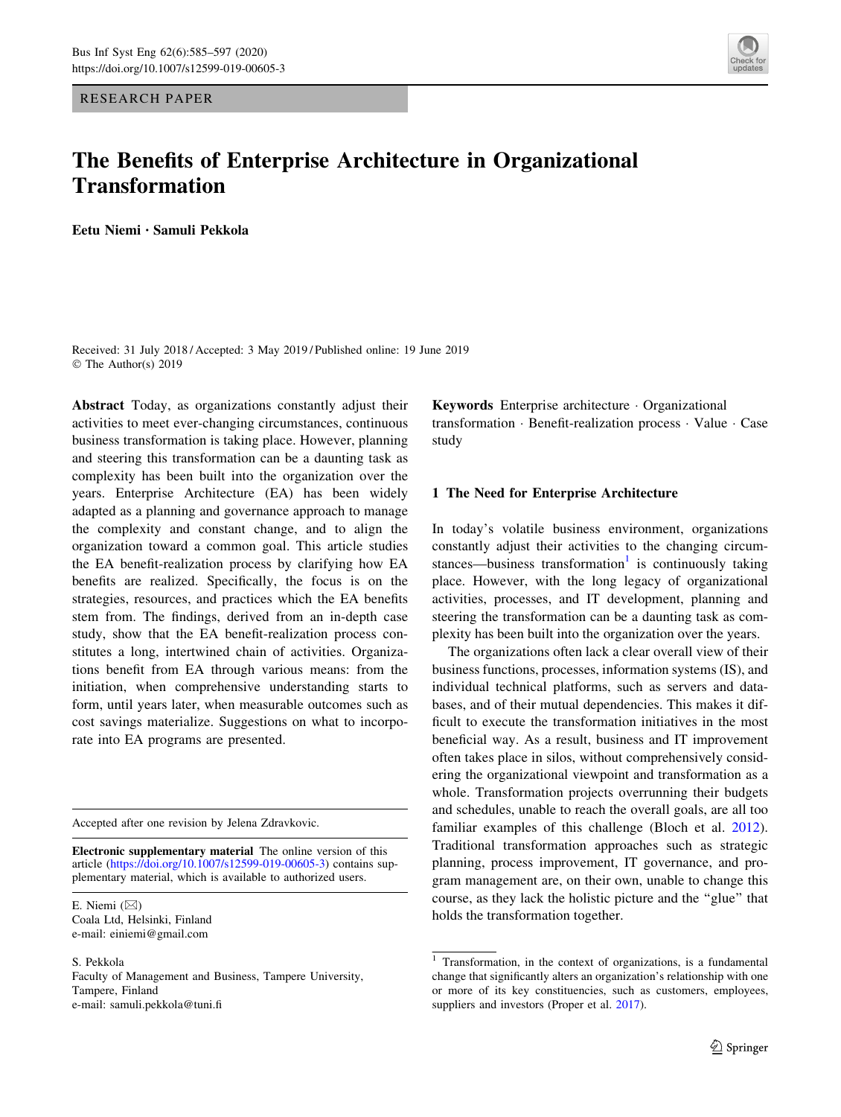RESEARCH PAPER



# The Benefits of Enterprise Architecture in Organizational Transformation

Eetu Niemi • Samuli Pekkola

Received: 31 July 2018 / Accepted: 3 May 2019 / Published online: 19 June 2019 © The Author(s) 2019

Abstract Today, as organizations constantly adjust their activities to meet ever-changing circumstances, continuous business transformation is taking place. However, planning and steering this transformation can be a daunting task as complexity has been built into the organization over the years. Enterprise Architecture (EA) has been widely adapted as a planning and governance approach to manage the complexity and constant change, and to align the organization toward a common goal. This article studies the EA benefit-realization process by clarifying how EA benefits are realized. Specifically, the focus is on the strategies, resources, and practices which the EA benefits stem from. The findings, derived from an in-depth case study, show that the EA benefit-realization process constitutes a long, intertwined chain of activities. Organizations benefit from EA through various means: from the initiation, when comprehensive understanding starts to form, until years later, when measurable outcomes such as cost savings materialize. Suggestions on what to incorporate into EA programs are presented.

Accepted after one revision by Jelena Zdravkovic.

Electronic supplementary material The online version of this article [\(https://doi.org/10.1007/s12599-019-00605-3](https://doi.org/10.1007/s12599-019-00605-3)) contains supplementary material, which is available to authorized users.

E. Niemi  $(\boxtimes)$ Coala Ltd, Helsinki, Finland e-mail: einiemi@gmail.com

S. Pekkola

Faculty of Management and Business, Tampere University, Tampere, Finland e-mail: samuli.pekkola@tuni.fi

Keywords Enterprise architecture - Organizational transformation - Benefit-realization process - Value - Case study

# 1 The Need for Enterprise Architecture

In today's volatile business environment, organizations constantly adjust their activities to the changing circumstances—business transformation<sup>1</sup> is continuously taking place. However, with the long legacy of organizational activities, processes, and IT development, planning and steering the transformation can be a daunting task as complexity has been built into the organization over the years.

The organizations often lack a clear overall view of their business functions, processes, information systems (IS), and individual technical platforms, such as servers and databases, and of their mutual dependencies. This makes it difficult to execute the transformation initiatives in the most beneficial way. As a result, business and IT improvement often takes place in silos, without comprehensively considering the organizational viewpoint and transformation as a whole. Transformation projects overrunning their budgets and schedules, unable to reach the overall goals, are all too familiar examples of this challenge (Bloch et al. [2012](#page-11-0)). Traditional transformation approaches such as strategic planning, process improvement, IT governance, and program management are, on their own, unable to change this course, as they lack the holistic picture and the ''glue'' that holds the transformation together.

<sup>&</sup>lt;sup>1</sup> Transformation, in the context of organizations, is a fundamental change that significantly alters an organization's relationship with one or more of its key constituencies, such as customers, employees, suppliers and investors (Proper et al. [2017](#page-12-0)).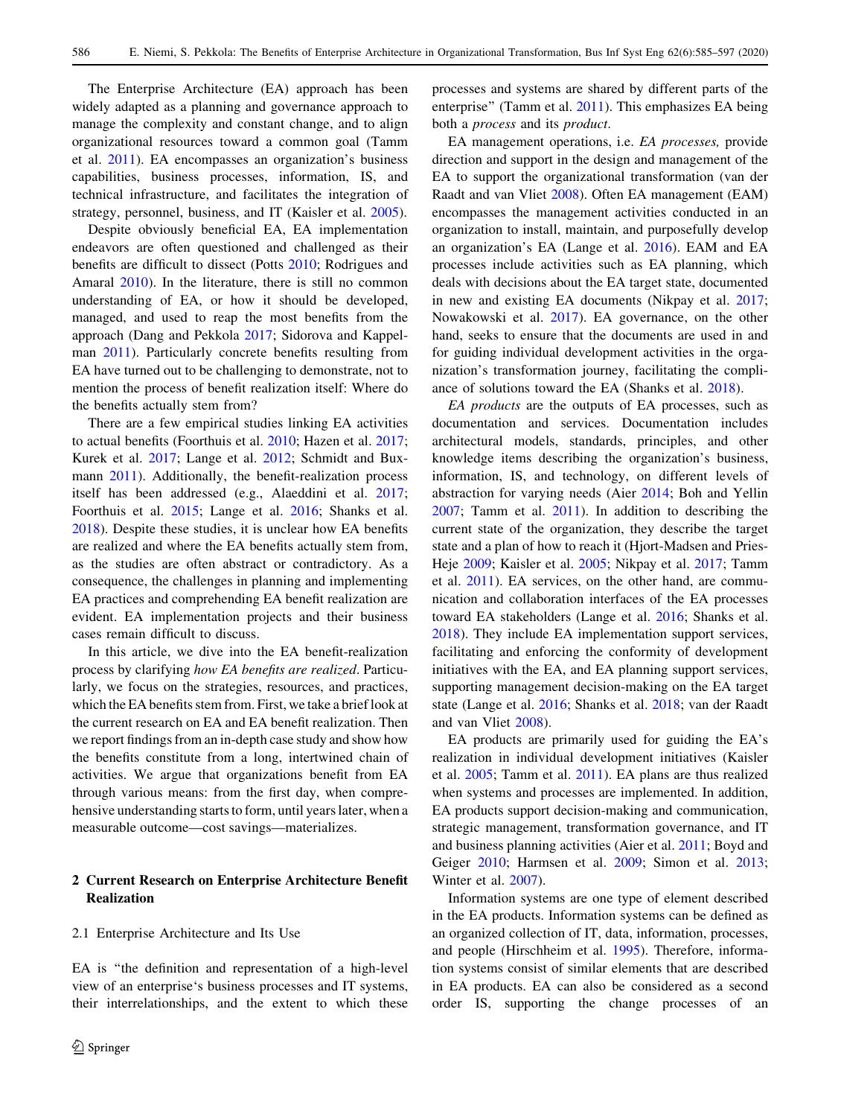The Enterprise Architecture (EA) approach has been widely adapted as a planning and governance approach to manage the complexity and constant change, and to align organizational resources toward a common goal (Tamm et al. [2011](#page-12-0)). EA encompasses an organization's business capabilities, business processes, information, IS, and technical infrastructure, and facilitates the integration of strategy, personnel, business, and IT (Kaisler et al. [2005\)](#page-11-0).

Despite obviously beneficial EA, EA implementation endeavors are often questioned and challenged as their benefits are difficult to dissect (Potts [2010](#page-12-0); Rodrigues and Amaral [2010](#page-12-0)). In the literature, there is still no common understanding of EA, or how it should be developed, managed, and used to reap the most benefits from the approach (Dang and Pekkola [2017](#page-11-0); Sidorova and Kappelman [2011](#page-12-0)). Particularly concrete benefits resulting from EA have turned out to be challenging to demonstrate, not to mention the process of benefit realization itself: Where do the benefits actually stem from?

There are a few empirical studies linking EA activities to actual benefits (Foorthuis et al. [2010;](#page-11-0) Hazen et al. [2017](#page-11-0); Kurek et al. [2017](#page-12-0); Lange et al. [2012](#page-12-0); Schmidt and Bux-mann [2011\)](#page-12-0). Additionally, the benefit-realization process itself has been addressed (e.g., Alaeddini et al. [2017](#page-11-0); Foorthuis et al. [2015](#page-11-0); Lange et al. [2016;](#page-12-0) Shanks et al. [2018\)](#page-12-0). Despite these studies, it is unclear how EA benefits are realized and where the EA benefits actually stem from, as the studies are often abstract or contradictory. As a consequence, the challenges in planning and implementing EA practices and comprehending EA benefit realization are evident. EA implementation projects and their business cases remain difficult to discuss.

In this article, we dive into the EA benefit-realization process by clarifying how EA benefits are realized. Particularly, we focus on the strategies, resources, and practices, which the EA benefits stem from. First, we take a brief look at the current research on EA and EA benefit realization. Then we report findings from an in-depth case study and show how the benefits constitute from a long, intertwined chain of activities. We argue that organizations benefit from EA through various means: from the first day, when comprehensive understanding starts to form, until years later, when a measurable outcome—cost savings—materializes.

# 2 Current Research on Enterprise Architecture Benefit Realization

## 2.1 Enterprise Architecture and Its Use

EA is ''the definition and representation of a high-level view of an enterprise's business processes and IT systems, their interrelationships, and the extent to which these processes and systems are shared by different parts of the enterprise'' (Tamm et al. [2011](#page-12-0)). This emphasizes EA being both a process and its product.

EA management operations, i.e. EA processes, provide direction and support in the design and management of the EA to support the organizational transformation (van der Raadt and van Vliet [2008](#page-12-0)). Often EA management (EAM) encompasses the management activities conducted in an organization to install, maintain, and purposefully develop an organization's EA (Lange et al. [2016](#page-12-0)). EAM and EA processes include activities such as EA planning, which deals with decisions about the EA target state, documented in new and existing EA documents (Nikpay et al. [2017](#page-12-0); Nowakowski et al. [2017\)](#page-12-0). EA governance, on the other hand, seeks to ensure that the documents are used in and for guiding individual development activities in the organization's transformation journey, facilitating the compliance of solutions toward the EA (Shanks et al. [2018](#page-12-0)).

EA products are the outputs of EA processes, such as documentation and services. Documentation includes architectural models, standards, principles, and other knowledge items describing the organization's business, information, IS, and technology, on different levels of abstraction for varying needs (Aier [2014](#page-11-0); Boh and Yellin [2007](#page-11-0); Tamm et al. [2011](#page-12-0)). In addition to describing the current state of the organization, they describe the target state and a plan of how to reach it (Hjort-Madsen and Pries-Heje [2009](#page-11-0); Kaisler et al. [2005;](#page-11-0) Nikpay et al. [2017;](#page-12-0) Tamm et al. [2011\)](#page-12-0). EA services, on the other hand, are communication and collaboration interfaces of the EA processes toward EA stakeholders (Lange et al. [2016;](#page-12-0) Shanks et al. [2018](#page-12-0)). They include EA implementation support services, facilitating and enforcing the conformity of development initiatives with the EA, and EA planning support services, supporting management decision-making on the EA target state (Lange et al. [2016;](#page-12-0) Shanks et al. [2018](#page-12-0); van der Raadt and van Vliet [2008](#page-12-0)).

EA products are primarily used for guiding the EA's realization in individual development initiatives (Kaisler et al. [2005](#page-11-0); Tamm et al. [2011\)](#page-12-0). EA plans are thus realized when systems and processes are implemented. In addition, EA products support decision-making and communication, strategic management, transformation governance, and IT and business planning activities (Aier et al. [2011;](#page-11-0) Boyd and Geiger [2010](#page-11-0); Harmsen et al. [2009;](#page-11-0) Simon et al. [2013](#page-12-0); Winter et al. [2007\)](#page-12-0).

Information systems are one type of element described in the EA products. Information systems can be defined as an organized collection of IT, data, information, processes, and people (Hirschheim et al. [1995\)](#page-11-0). Therefore, information systems consist of similar elements that are described in EA products. EA can also be considered as a second order IS, supporting the change processes of an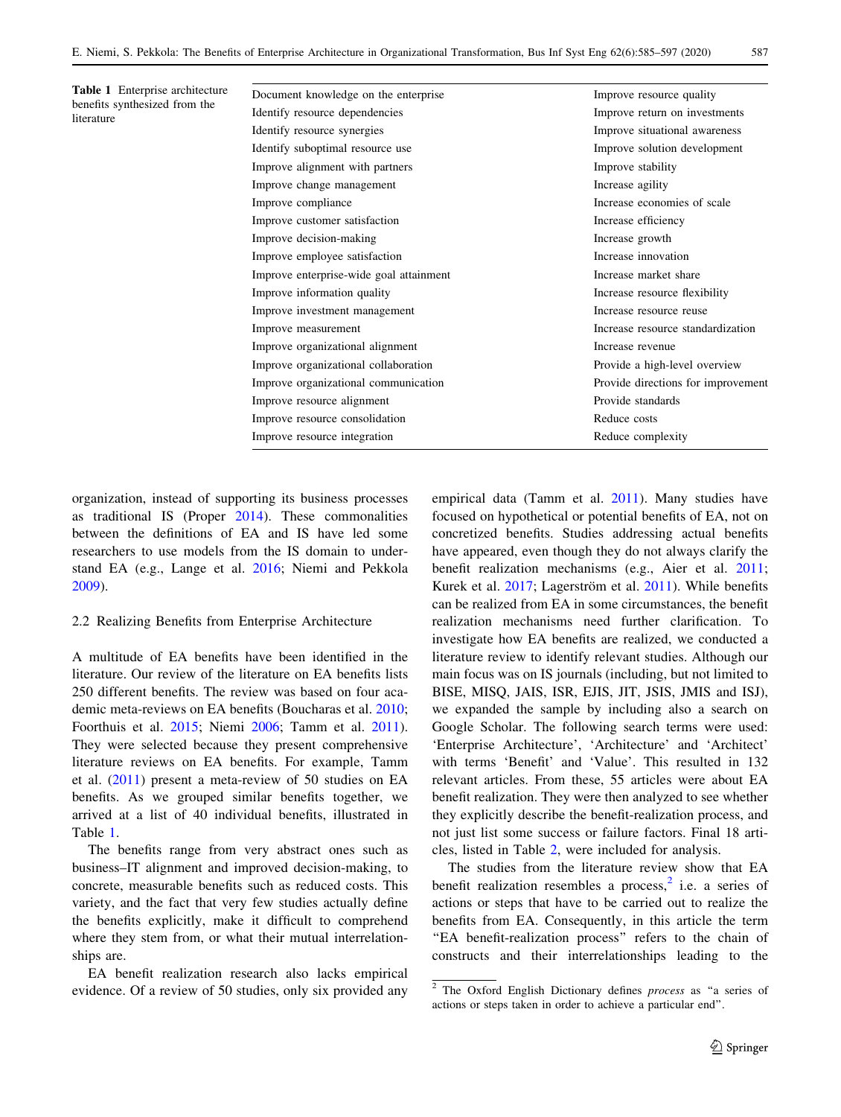| Table 1 Enterprise architecture<br>benefits synthesized from the<br>literature | Document knowledge on the enterprise    | Improve resource quality           |
|--------------------------------------------------------------------------------|-----------------------------------------|------------------------------------|
|                                                                                | Identify resource dependencies          | Improve return on investments      |
|                                                                                | Identify resource synergies             | Improve situational awareness      |
|                                                                                | Identify suboptimal resource use        | Improve solution development       |
|                                                                                | Improve alignment with partners         | Improve stability                  |
|                                                                                | Improve change management               | Increase agility                   |
|                                                                                | Improve compliance                      | Increase economies of scale        |
|                                                                                | Improve customer satisfaction           | Increase efficiency                |
|                                                                                | Improve decision-making                 | Increase growth                    |
|                                                                                | Improve employee satisfaction           | Increase innovation                |
|                                                                                | Improve enterprise-wide goal attainment | Increase market share              |
|                                                                                | Improve information quality             | Increase resource flexibility      |
|                                                                                | Improve investment management           | Increase resource reuse            |
|                                                                                | Improve measurement                     | Increase resource standardization  |
|                                                                                | Improve organizational alignment        | Increase revenue                   |
|                                                                                | Improve organizational collaboration    | Provide a high-level overview      |
|                                                                                | Improve organizational communication    | Provide directions for improvement |
|                                                                                | Improve resource alignment              | Provide standards                  |
|                                                                                | Improve resource consolidation          | Reduce costs                       |
|                                                                                | Improve resource integration            | Reduce complexity                  |
|                                                                                |                                         |                                    |

organization, instead of supporting its business processes as traditional IS (Proper [2014\)](#page-12-0). These commonalities between the definitions of EA and IS have led some researchers to use models from the IS domain to understand EA (e.g., Lange et al. [2016;](#page-12-0) Niemi and Pekkola [2009\)](#page-12-0).

## 2.2 Realizing Benefits from Enterprise Architecture

A multitude of EA benefits have been identified in the literature. Our review of the literature on EA benefits lists 250 different benefits. The review was based on four academic meta-reviews on EA benefits (Boucharas et al. [2010](#page-11-0); Foorthuis et al. [2015;](#page-11-0) Niemi [2006](#page-12-0); Tamm et al. [2011](#page-12-0)). They were selected because they present comprehensive literature reviews on EA benefits. For example, Tamm et al. ([2011\)](#page-12-0) present a meta-review of 50 studies on EA benefits. As we grouped similar benefits together, we arrived at a list of 40 individual benefits, illustrated in Table 1.

The benefits range from very abstract ones such as business–IT alignment and improved decision-making, to concrete, measurable benefits such as reduced costs. This variety, and the fact that very few studies actually define the benefits explicitly, make it difficult to comprehend where they stem from, or what their mutual interrelationships are.

EA benefit realization research also lacks empirical evidence. Of a review of 50 studies, only six provided any

empirical data (Tamm et al. [2011](#page-12-0)). Many studies have focused on hypothetical or potential benefits of EA, not on concretized benefits. Studies addressing actual benefits have appeared, even though they do not always clarify the benefit realization mechanisms (e.g., Aier et al. [2011](#page-11-0); Kurek et al. [2017;](#page-12-0) Lagerström et al. [2011](#page-12-0)). While benefits can be realized from EA in some circumstances, the benefit realization mechanisms need further clarification. To investigate how EA benefits are realized, we conducted a literature review to identify relevant studies. Although our main focus was on IS journals (including, but not limited to BISE, MISQ, JAIS, ISR, EJIS, JIT, JSIS, JMIS and ISJ), we expanded the sample by including also a search on Google Scholar. The following search terms were used: 'Enterprise Architecture', 'Architecture' and 'Architect' with terms 'Benefit' and 'Value'. This resulted in 132 relevant articles. From these, 55 articles were about EA benefit realization. They were then analyzed to see whether they explicitly describe the benefit-realization process, and not just list some success or failure factors. Final 18 articles, listed in Table [2,](#page-3-0) were included for analysis.

The studies from the literature review show that EA benefit realization resembles a process, $<sup>2</sup>$  i.e. a series of</sup> actions or steps that have to be carried out to realize the benefits from EA. Consequently, in this article the term "EA benefit-realization process" refers to the chain of constructs and their interrelationships leading to the

<sup>2</sup> The Oxford English Dictionary defines process as ''a series of actions or steps taken in order to achieve a particular end''.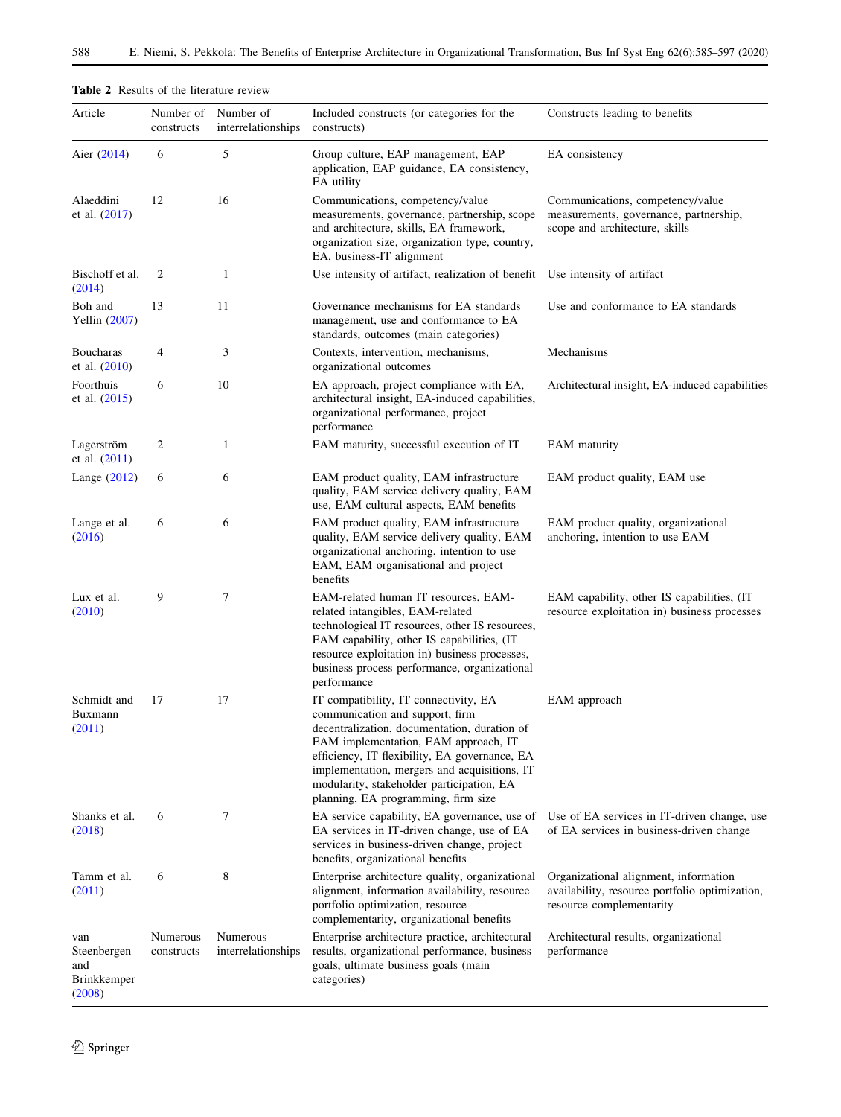<span id="page-3-0"></span>

| <b>Table 2</b> Results of the literature review |  |
|-------------------------------------------------|--|
|-------------------------------------------------|--|

| Article                                            | Number of<br>constructs | Number of<br>interrelationships | Included constructs (or categories for the<br>constructs)                                                                                                                                                                                                                                                                                             | Constructs leading to benefits                                                                                      |
|----------------------------------------------------|-------------------------|---------------------------------|-------------------------------------------------------------------------------------------------------------------------------------------------------------------------------------------------------------------------------------------------------------------------------------------------------------------------------------------------------|---------------------------------------------------------------------------------------------------------------------|
| Aier (2014)                                        | 6                       | 5                               | Group culture, EAP management, EAP<br>application, EAP guidance, EA consistency,<br>EA utility                                                                                                                                                                                                                                                        | EA consistency                                                                                                      |
| Alaeddini<br>et al. (2017)                         | 12                      | 16                              | Communications, competency/value<br>measurements, governance, partnership, scope<br>and architecture, skills, EA framework,<br>organization size, organization type, country,<br>EA, business-IT alignment                                                                                                                                            | Communications, competency/value<br>measurements, governance, partnership,<br>scope and architecture, skills        |
| Bischoff et al.<br>(2014)                          | 2                       | 1                               | Use intensity of artifact, realization of benefit                                                                                                                                                                                                                                                                                                     | Use intensity of artifact                                                                                           |
| Boh and<br>Yellin $(2007)$                         | 13                      | 11                              | Governance mechanisms for EA standards<br>management, use and conformance to EA<br>standards, outcomes (main categories)                                                                                                                                                                                                                              | Use and conformance to EA standards                                                                                 |
| Boucharas<br>et al. $(2010)$                       | 4                       | 3                               | Contexts, intervention, mechanisms,<br>organizational outcomes                                                                                                                                                                                                                                                                                        | Mechanisms                                                                                                          |
| Foorthuis<br>et al. $(2015)$                       | 6                       | 10                              | EA approach, project compliance with EA,<br>architectural insight, EA-induced capabilities,<br>organizational performance, project<br>performance                                                                                                                                                                                                     | Architectural insight, EA-induced capabilities                                                                      |
| Lagerström<br>et al. (2011)                        | 2                       | 1                               | EAM maturity, successful execution of IT                                                                                                                                                                                                                                                                                                              | <b>EAM</b> maturity                                                                                                 |
| Lange $(2012)$                                     | 6                       | 6                               | EAM product quality, EAM infrastructure<br>quality, EAM service delivery quality, EAM<br>use, EAM cultural aspects, EAM benefits                                                                                                                                                                                                                      | EAM product quality, EAM use                                                                                        |
| Lange et al.<br>(2016)                             | 6                       | 6                               | EAM product quality, EAM infrastructure<br>quality, EAM service delivery quality, EAM<br>organizational anchoring, intention to use<br>EAM, EAM organisational and project<br>benefits                                                                                                                                                                | EAM product quality, organizational<br>anchoring, intention to use EAM                                              |
| Lux et al.<br>(2010)                               | 9                       | 7                               | EAM-related human IT resources, EAM-<br>related intangibles, EAM-related<br>technological IT resources, other IS resources,<br>EAM capability, other IS capabilities, (IT<br>resource exploitation in) business processes,<br>business process performance, organizational<br>performance                                                             | EAM capability, other IS capabilities, (IT<br>resource exploitation in) business processes                          |
| Schmidt and<br>Buxmann<br>(2011)                   | 17                      | 17                              | IT compatibility, IT connectivity, EA<br>communication and support, firm<br>decentralization, documentation, duration of<br>EAM implementation, EAM approach, IT<br>efficiency, IT flexibility, EA governance, EA<br>implementation, mergers and acquisitions, IT<br>modularity, stakeholder participation, EA<br>planning, EA programming, firm size | EAM approach                                                                                                        |
| Shanks et al.<br>(2018)                            | 6                       | 7                               | EA service capability, EA governance, use of<br>EA services in IT-driven change, use of EA<br>services in business-driven change, project<br>benefits, organizational benefits                                                                                                                                                                        | Use of EA services in IT-driven change, use<br>of EA services in business-driven change                             |
| Tamm et al.<br>(2011)                              | 6                       | 8                               | Enterprise architecture quality, organizational<br>alignment, information availability, resource<br>portfolio optimization, resource<br>complementarity, organizational benefits                                                                                                                                                                      | Organizational alignment, information<br>availability, resource portfolio optimization,<br>resource complementarity |
| van<br>Steenbergen<br>and<br>Brinkkemper<br>(2008) | Numerous<br>constructs  | Numerous<br>interrelationships  | Enterprise architecture practice, architectural<br>results, organizational performance, business<br>goals, ultimate business goals (main<br>categories)                                                                                                                                                                                               | Architectural results, organizational<br>performance                                                                |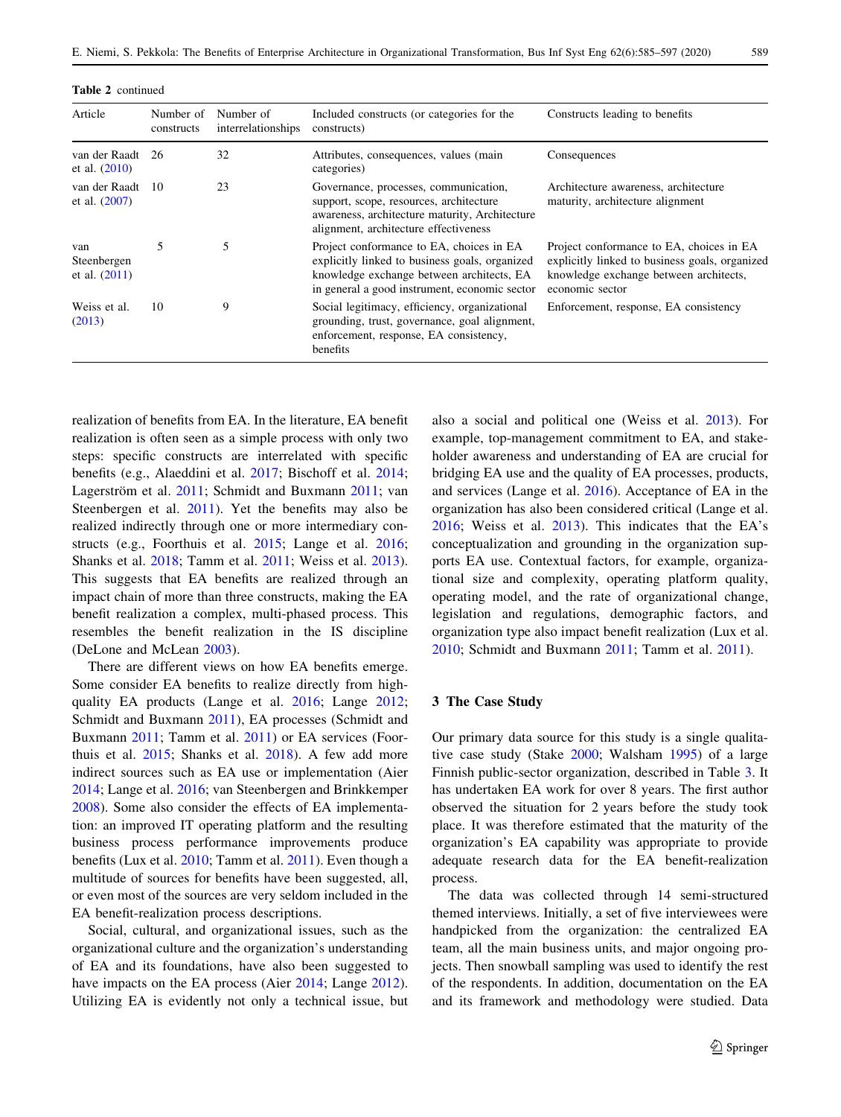| Article                               | Number of<br>constructs | Number of<br>interrelationships | Included constructs (or categories for the<br>constructs)                                                                                                                                | Constructs leading to benefits                                                                                                                          |
|---------------------------------------|-------------------------|---------------------------------|------------------------------------------------------------------------------------------------------------------------------------------------------------------------------------------|---------------------------------------------------------------------------------------------------------------------------------------------------------|
| van der Raadt 26<br>et al. $(2010)$   |                         | 32                              | Attributes, consequences, values (main<br>categories)                                                                                                                                    | Consequences                                                                                                                                            |
| van der Raadt<br>et al. $(2007)$      | 10                      | 23                              | Governance, processes, communication,<br>support, scope, resources, architecture<br>awareness, architecture maturity, Architecture<br>alignment, architecture effectiveness              | Architecture awareness, architecture<br>maturity, architecture alignment                                                                                |
| van<br>Steenbergen<br>et al. $(2011)$ | 5                       | 5                               | Project conformance to EA, choices in EA<br>explicitly linked to business goals, organized<br>knowledge exchange between architects, EA<br>in general a good instrument, economic sector | Project conformance to EA, choices in EA<br>explicitly linked to business goals, organized<br>knowledge exchange between architects,<br>economic sector |
| Weiss et al.<br>(2013)                | 10                      | 9                               | Social legitimacy, efficiency, organizational<br>grounding, trust, governance, goal alignment,<br>enforcement, response, EA consistency,<br>benefits                                     | Enforcement, response, EA consistency                                                                                                                   |

Table 2 continued

realization of benefits from EA. In the literature, EA benefit realization is often seen as a simple process with only two steps: specific constructs are interrelated with specific benefits (e.g., Alaeddini et al. [2017](#page-11-0); Bischoff et al. [2014](#page-11-0); Lagerström et al. [2011;](#page-12-0) Schmidt and Buxmann [2011](#page-12-0); van Steenbergen et al. [2011\)](#page-12-0). Yet the benefits may also be realized indirectly through one or more intermediary constructs (e.g., Foorthuis et al. [2015;](#page-11-0) Lange et al. [2016](#page-12-0); Shanks et al. [2018;](#page-12-0) Tamm et al. [2011;](#page-12-0) Weiss et al. [2013](#page-12-0)). This suggests that EA benefits are realized through an impact chain of more than three constructs, making the EA benefit realization a complex, multi-phased process. This resembles the benefit realization in the IS discipline (DeLone and McLean [2003](#page-11-0)).

There are different views on how EA benefits emerge. Some consider EA benefits to realize directly from highquality EA products (Lange et al. [2016;](#page-12-0) Lange [2012](#page-12-0); Schmidt and Buxmann [2011\)](#page-12-0), EA processes (Schmidt and Buxmann [2011](#page-12-0); Tamm et al. [2011\)](#page-12-0) or EA services (Foorthuis et al. [2015](#page-11-0); Shanks et al. [2018\)](#page-12-0). A few add more indirect sources such as EA use or implementation (Aier [2014;](#page-11-0) Lange et al. [2016](#page-12-0); van Steenbergen and Brinkkemper [2008\)](#page-12-0). Some also consider the effects of EA implementation: an improved IT operating platform and the resulting business process performance improvements produce benefits (Lux et al. [2010;](#page-12-0) Tamm et al. [2011](#page-12-0)). Even though a multitude of sources for benefits have been suggested, all, or even most of the sources are very seldom included in the EA benefit-realization process descriptions.

Social, cultural, and organizational issues, such as the organizational culture and the organization's understanding of EA and its foundations, have also been suggested to have impacts on the EA process (Aier [2014](#page-11-0); Lange [2012](#page-12-0)). Utilizing EA is evidently not only a technical issue, but also a social and political one (Weiss et al. [2013\)](#page-12-0). For example, top-management commitment to EA, and stakeholder awareness and understanding of EA are crucial for bridging EA use and the quality of EA processes, products, and services (Lange et al. [2016](#page-12-0)). Acceptance of EA in the organization has also been considered critical (Lange et al. [2016](#page-12-0); Weiss et al. [2013](#page-12-0)). This indicates that the EA's conceptualization and grounding in the organization supports EA use. Contextual factors, for example, organizational size and complexity, operating platform quality, operating model, and the rate of organizational change, legislation and regulations, demographic factors, and organization type also impact benefit realization (Lux et al. [2010](#page-12-0); Schmidt and Buxmann [2011;](#page-12-0) Tamm et al. [2011](#page-12-0)).

## 3 The Case Study

Our primary data source for this study is a single qualitative case study (Stake [2000](#page-12-0); Walsham [1995](#page-12-0)) of a large Finnish public-sector organization, described in Table [3.](#page-5-0) It has undertaken EA work for over 8 years. The first author observed the situation for 2 years before the study took place. It was therefore estimated that the maturity of the organization's EA capability was appropriate to provide adequate research data for the EA benefit-realization process.

The data was collected through 14 semi-structured themed interviews. Initially, a set of five interviewees were handpicked from the organization: the centralized EA team, all the main business units, and major ongoing projects. Then snowball sampling was used to identify the rest of the respondents. In addition, documentation on the EA and its framework and methodology were studied. Data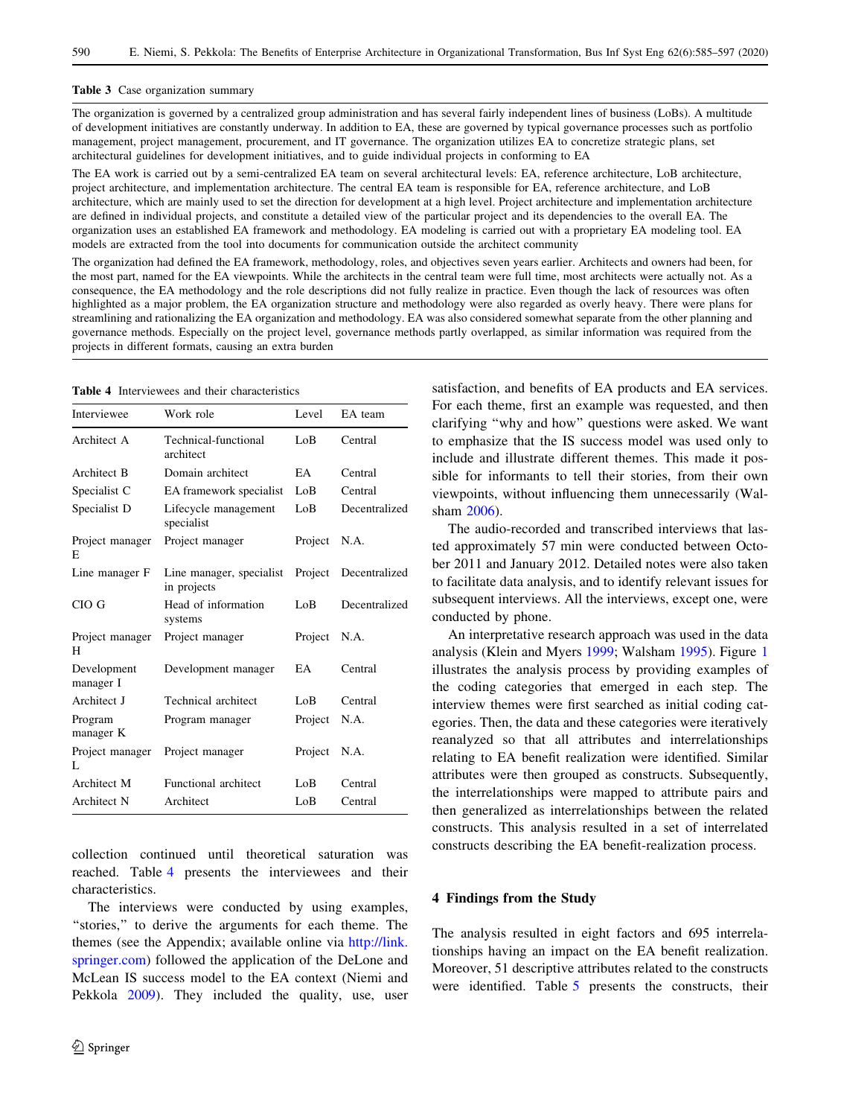## <span id="page-5-0"></span>Table 3 Case organization summary

The organization is governed by a centralized group administration and has several fairly independent lines of business (LoBs). A multitude of development initiatives are constantly underway. In addition to EA, these are governed by typical governance processes such as portfolio management, project management, procurement, and IT governance. The organization utilizes EA to concretize strategic plans, set architectural guidelines for development initiatives, and to guide individual projects in conforming to EA

The EA work is carried out by a semi-centralized EA team on several architectural levels: EA, reference architecture, LoB architecture, project architecture, and implementation architecture. The central EA team is responsible for EA, reference architecture, and LoB architecture, which are mainly used to set the direction for development at a high level. Project architecture and implementation architecture are defined in individual projects, and constitute a detailed view of the particular project and its dependencies to the overall EA. The organization uses an established EA framework and methodology. EA modeling is carried out with a proprietary EA modeling tool. EA models are extracted from the tool into documents for communication outside the architect community

The organization had defined the EA framework, methodology, roles, and objectives seven years earlier. Architects and owners had been, for the most part, named for the EA viewpoints. While the architects in the central team were full time, most architects were actually not. As a consequence, the EA methodology and the role descriptions did not fully realize in practice. Even though the lack of resources was often highlighted as a major problem, the EA organization structure and methodology were also regarded as overly heavy. There were plans for streamlining and rationalizing the EA organization and methodology. EA was also considered somewhat separate from the other planning and governance methods. Especially on the project level, governance methods partly overlapped, as similar information was required from the projects in different formats, causing an extra burden

#### Table 4 Interviewees and their characteristics

| Interviewee              | Work role                               | Level   | EA team       |
|--------------------------|-----------------------------------------|---------|---------------|
| Architect A              | Technical-functional<br>architect       | LoB     | Central       |
| Architect B              | Domain architect                        | EA.     | Central       |
| Specialist C             | EA framework specialist                 | LoB     | Central       |
| Specialist D             | Lifecycle management<br>specialist      | LoB     | Decentralized |
| Project manager<br>E.    | Project manager                         | Project | N.A.          |
| Line manager F           | Line manager, specialist<br>in projects | Project | Decentralized |
| $CIO$ $G$                | Head of information<br>systems          | LoB.    | Decentralized |
| Project manager<br>н     | Project manager                         | Project | N.A.          |
| Development<br>manager I | Development manager                     | EA      | Central       |
| Architect J              | Technical architect                     | LoB.    | Central       |
| Program<br>manager K     | Program manager                         | Project | N.A.          |
| Project manager<br>L     | Project manager                         | Project | N.A.          |
| Architect M              | Functional architect                    | LoB     | Central       |
| Architect<br>Architect N |                                         | LoB     | Central       |

collection continued until theoretical saturation was reached. Table 4 presents the interviewees and their characteristics.

The interviews were conducted by using examples, "stories," to derive the arguments for each theme. The themes (see the Appendix; available online via [http://link.](http://link.springer.com) [springer.com\)](http://link.springer.com) followed the application of the DeLone and McLean IS success model to the EA context (Niemi and Pekkola [2009](#page-12-0)). They included the quality, use, user satisfaction, and benefits of EA products and EA services. For each theme, first an example was requested, and then clarifying ''why and how'' questions were asked. We want to emphasize that the IS success model was used only to include and illustrate different themes. This made it possible for informants to tell their stories, from their own viewpoints, without influencing them unnecessarily (Wal-sham [2006\)](#page-12-0).

The audio-recorded and transcribed interviews that lasted approximately 57 min were conducted between October 2011 and January 2012. Detailed notes were also taken to facilitate data analysis, and to identify relevant issues for subsequent interviews. All the interviews, except one, were conducted by phone.

An interpretative research approach was used in the data analysis (Klein and Myers [1999](#page-12-0); Walsham [1995](#page-12-0)). Figure [1](#page-6-0) illustrates the analysis process by providing examples of the coding categories that emerged in each step. The interview themes were first searched as initial coding categories. Then, the data and these categories were iteratively reanalyzed so that all attributes and interrelationships relating to EA benefit realization were identified. Similar attributes were then grouped as constructs. Subsequently, the interrelationships were mapped to attribute pairs and then generalized as interrelationships between the related constructs. This analysis resulted in a set of interrelated constructs describing the EA benefit-realization process.

#### 4 Findings from the Study

The analysis resulted in eight factors and 695 interrelationships having an impact on the EA benefit realization. Moreover, 51 descriptive attributes related to the constructs were identified. Table [5](#page-7-0) presents the constructs, their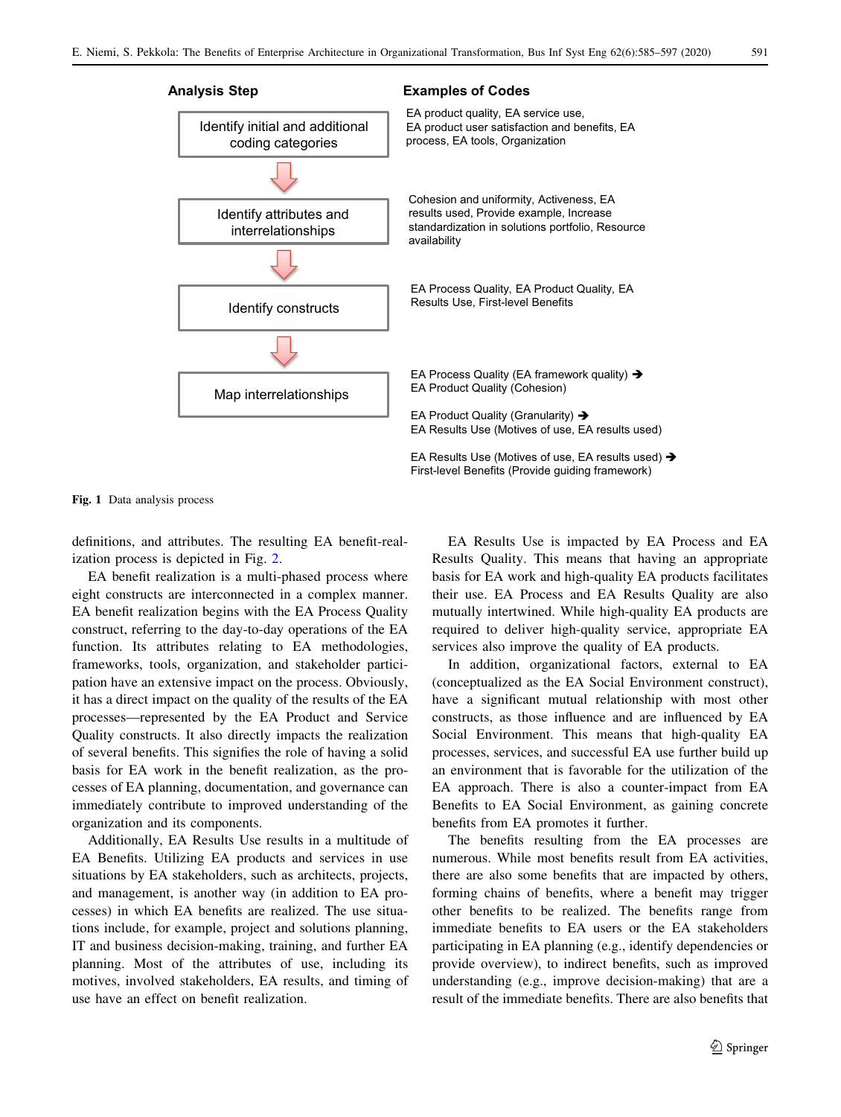<span id="page-6-0"></span>

Fig. 1 Data analysis process

definitions, and attributes. The resulting EA benefit-realization process is depicted in Fig. [2](#page-8-0).

EA benefit realization is a multi-phased process where eight constructs are interconnected in a complex manner. EA benefit realization begins with the EA Process Quality construct, referring to the day-to-day operations of the EA function. Its attributes relating to EA methodologies, frameworks, tools, organization, and stakeholder participation have an extensive impact on the process. Obviously, it has a direct impact on the quality of the results of the EA processes—represented by the EA Product and Service Quality constructs. It also directly impacts the realization of several benefits. This signifies the role of having a solid basis for EA work in the benefit realization, as the processes of EA planning, documentation, and governance can immediately contribute to improved understanding of the organization and its components.

Additionally, EA Results Use results in a multitude of EA Benefits. Utilizing EA products and services in use situations by EA stakeholders, such as architects, projects, and management, is another way (in addition to EA processes) in which EA benefits are realized. The use situations include, for example, project and solutions planning, IT and business decision-making, training, and further EA planning. Most of the attributes of use, including its motives, involved stakeholders, EA results, and timing of use have an effect on benefit realization.

EA Results Use is impacted by EA Process and EA Results Quality. This means that having an appropriate basis for EA work and high-quality EA products facilitates their use. EA Process and EA Results Quality are also mutually intertwined. While high-quality EA products are required to deliver high-quality service, appropriate EA services also improve the quality of EA products.

In addition, organizational factors, external to EA (conceptualized as the EA Social Environment construct), have a significant mutual relationship with most other constructs, as those influence and are influenced by EA Social Environment. This means that high-quality EA processes, services, and successful EA use further build up an environment that is favorable for the utilization of the EA approach. There is also a counter-impact from EA Benefits to EA Social Environment, as gaining concrete benefits from EA promotes it further.

The benefits resulting from the EA processes are numerous. While most benefits result from EA activities, there are also some benefits that are impacted by others, forming chains of benefits, where a benefit may trigger other benefits to be realized. The benefits range from immediate benefits to EA users or the EA stakeholders participating in EA planning (e.g., identify dependencies or provide overview), to indirect benefits, such as improved understanding (e.g., improve decision-making) that are a result of the immediate benefits. There are also benefits that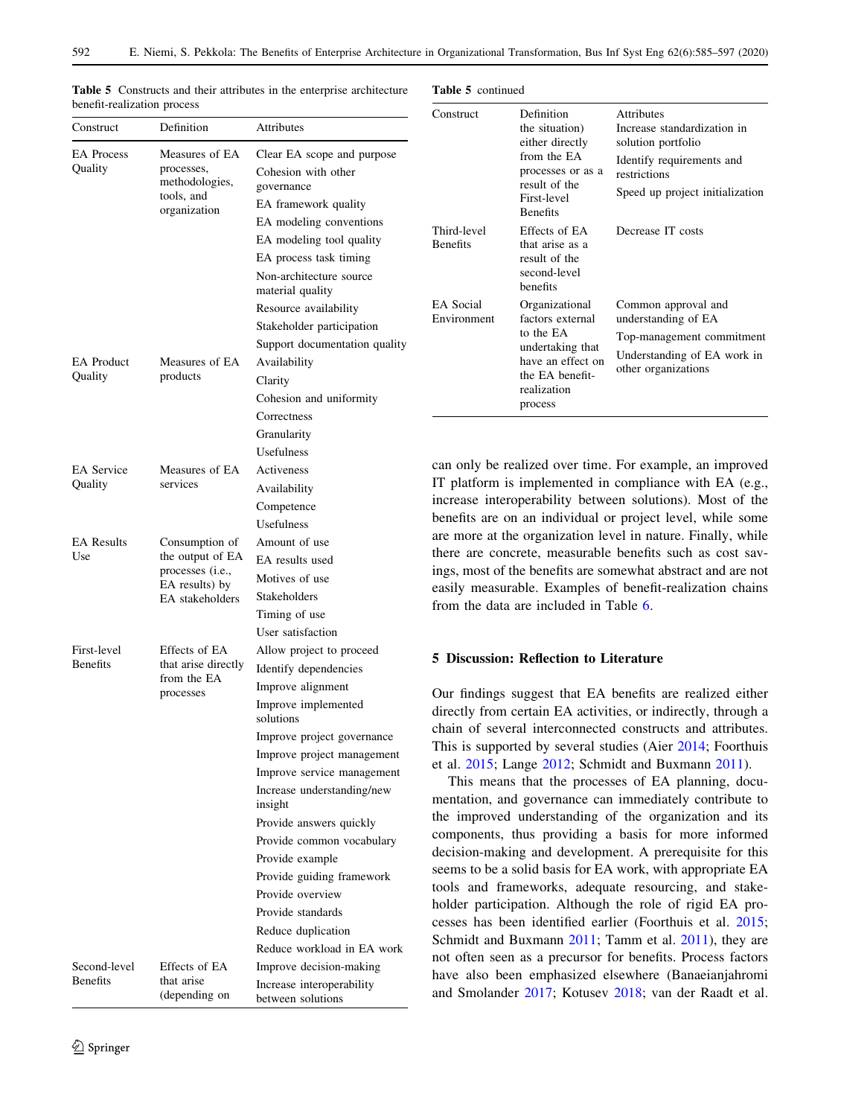| Construct                       | Definition                                                                                  | Attributes                                                                                                                                                                                                                                                                                                                                                                                                                                |
|---------------------------------|---------------------------------------------------------------------------------------------|-------------------------------------------------------------------------------------------------------------------------------------------------------------------------------------------------------------------------------------------------------------------------------------------------------------------------------------------------------------------------------------------------------------------------------------------|
| <b>EA</b> Process<br>Quality    | Measures of EA<br>processes,<br>methodologies,<br>tools, and<br>organization                | Clear EA scope and purpose<br>Cohesion with other<br>governance<br>EA framework quality<br>EA modeling conventions<br>EA modeling tool quality<br>EA process task timing<br>Non-architecture source<br>material quality<br>Resource availability<br>Stakeholder participation                                                                                                                                                             |
| <b>EA</b> Product<br>Quality    | Measures of EA<br>products                                                                  | Support documentation quality<br>Availability<br>Clarity<br>Cohesion and uniformity<br>Correctness<br>Granularity                                                                                                                                                                                                                                                                                                                         |
| <b>EA</b> Service<br>Quality    | Measures of EA<br>services                                                                  | Usefulness<br>Activeness<br>Availability<br>Competence<br>Usefulness                                                                                                                                                                                                                                                                                                                                                                      |
| <b>EA</b> Results<br>Use        | Consumption of<br>the output of EA<br>processes (i.e.,<br>EA results) by<br>EA stakeholders | Amount of use<br>EA results used<br>Motives of use<br>Stakeholders<br>Timing of use                                                                                                                                                                                                                                                                                                                                                       |
| First-level<br><b>Benefits</b>  | Effects of EA<br>that arise directly<br>from the EA<br>processes                            | User satisfaction<br>Allow project to proceed<br>Identify dependencies<br>Improve alignment<br>Improve implemented<br>solutions<br>Improve project governance<br>Improve project management<br>Improve service management<br>Increase understanding/new<br>insight<br>Provide answers quickly<br>Provide common vocabulary<br>Provide example<br>Provide guiding framework<br>Provide overview<br>Provide standards<br>Reduce duplication |
| Second-level<br><b>Benefits</b> | Effects of EA<br>that arise<br>(depending on                                                | Reduce workload in EA work<br>Improve decision-making<br>Increase interoperability<br>between solutions                                                                                                                                                                                                                                                                                                                                   |

<span id="page-7-0"></span>Table 5 Constructs and their attributes in the enterprise architecture benefit-realization process

| <b>Table 5</b> continued        |                                                                                                                                        |                                                                                                                                                 |
|---------------------------------|----------------------------------------------------------------------------------------------------------------------------------------|-------------------------------------------------------------------------------------------------------------------------------------------------|
| Construct                       | Definition<br>the situation)<br>either directly<br>from the EA<br>processes or as a<br>result of the<br>First-level<br><b>Benefits</b> | Attributes<br>Increase standardization in<br>solution portfolio<br>Identify requirements and<br>restrictions<br>Speed up project initialization |
| Third-level<br><b>Benefits</b>  | Effects of EA<br>that arise as a<br>result of the<br>second-level<br>benefits                                                          | Decrease IT costs                                                                                                                               |
| <b>EA</b> Social<br>Environment | Organizational<br>factors external<br>to the EA<br>undertaking that<br>have an effect on<br>the EA benefit-<br>realization<br>process  | Common approval and<br>understanding of EA<br>Top-management commitment<br>Understanding of EA work in<br>other organizations                   |

can only be realized over time. For example, an improved IT platform is implemented in compliance with EA (e.g., increase interoperability between solutions). Most of the benefits are on an individual or project level, while some are more at the organization level in nature. Finally, while there are concrete, measurable benefits such as cost savings, most of the benefits are somewhat abstract and are not easily measurable. Examples of benefit-realization chains from the data are included in Table [6](#page-8-0).

## 5 Discussion: Reflection to Literature

Our findings suggest that EA benefits are realized either directly from certain EA activities, or indirectly, through a chain of several interconnected constructs and attributes. This is supported by several studies (Aier [2014;](#page-11-0) Foorthuis et al. [2015;](#page-11-0) Lange [2012](#page-12-0); Schmidt and Buxmann [2011](#page-12-0)).

This means that the processes of EA planning, documentation, and governance can immediately contribute to the improved understanding of the organization and its components, thus providing a basis for more informed decision-making and development. A prerequisite for this seems to be a solid basis for EA work, with appropriate EA tools and frameworks, adequate resourcing, and stakeholder participation. Although the role of rigid EA processes has been identified earlier (Foorthuis et al. [2015](#page-11-0); Schmidt and Buxmann [2011;](#page-12-0) Tamm et al. [2011](#page-12-0)), they are not often seen as a precursor for benefits. Process factors have also been emphasized elsewhere (Banaeianjahromi and Smolander [2017](#page-11-0); Kotusev [2018;](#page-12-0) van der Raadt et al.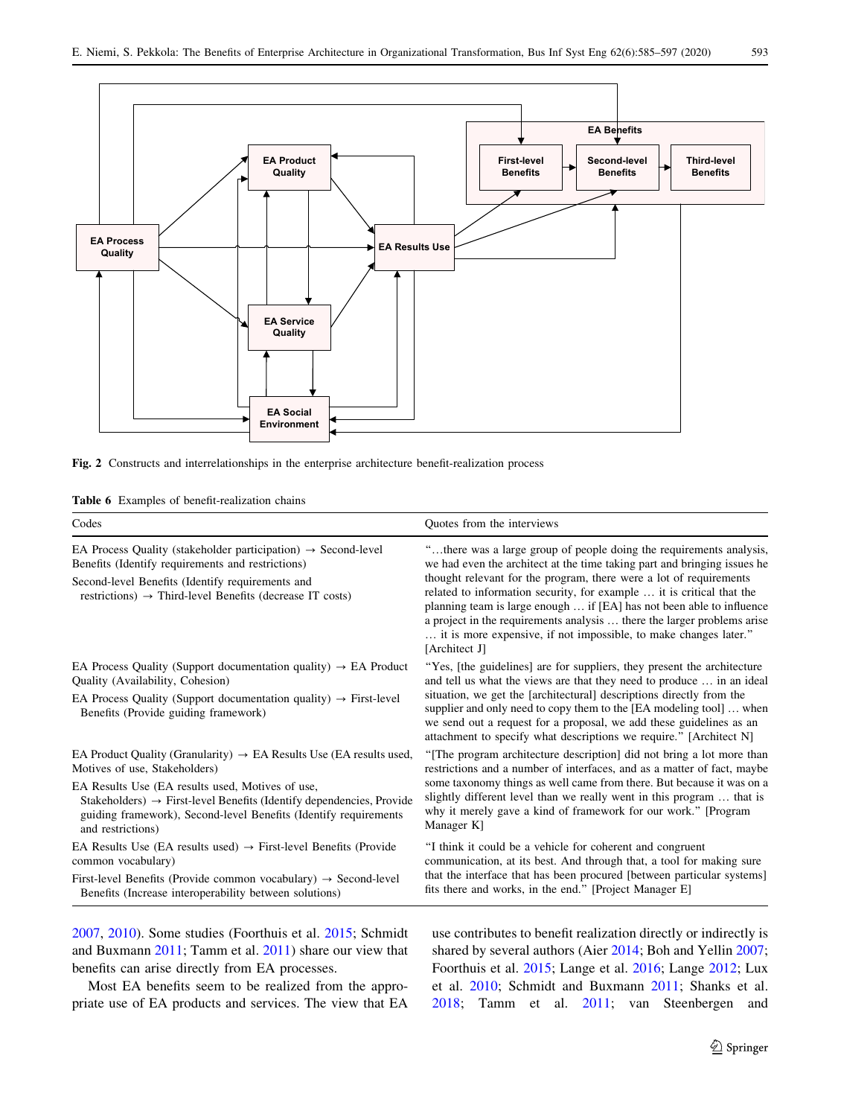<span id="page-8-0"></span>

Fig. 2 Constructs and interrelationships in the enterprise architecture benefit-realization process

Table 6 Examples of benefit-realization chains

| Codes                                                                                                                                                                                                                                                                                                                                             | Quotes from the interviews                                                                                                                                                                                                                                                                                                                                                                                                                                                                                                              |
|---------------------------------------------------------------------------------------------------------------------------------------------------------------------------------------------------------------------------------------------------------------------------------------------------------------------------------------------------|-----------------------------------------------------------------------------------------------------------------------------------------------------------------------------------------------------------------------------------------------------------------------------------------------------------------------------------------------------------------------------------------------------------------------------------------------------------------------------------------------------------------------------------------|
| EA Process Quality (stakeholder participation) $\rightarrow$ Second-level<br>Benefits (Identify requirements and restrictions)<br>Second-level Benefits (Identify requirements and<br>restrictions) $\rightarrow$ Third-level Benefits (decrease IT costs)                                                                                        | "there was a large group of people doing the requirements analysis,<br>we had even the architect at the time taking part and bringing issues he<br>thought relevant for the program, there were a lot of requirements<br>related to information security, for example  it is critical that the<br>planning team is large enough  if [EA] has not been able to influence<br>a project in the requirements analysis  there the larger problems arise<br>it is more expensive, if not impossible, to make changes later."<br>[Architect J] |
| EA Process Quality (Support documentation quality) $\rightarrow$ EA Product<br>Quality (Availability, Cohesion)<br>EA Process Quality (Support documentation quality) $\rightarrow$ First-level<br>Benefits (Provide guiding framework)                                                                                                           | "Yes, [the guidelines] are for suppliers, they present the architecture<br>and tell us what the views are that they need to produce  in an ideal<br>situation, we get the [architectural] descriptions directly from the<br>supplier and only need to copy them to the [EA modeling tool]  when<br>we send out a request for a proposal, we add these guidelines as an<br>attachment to specify what descriptions we require." [Architect N]                                                                                            |
| EA Product Quality (Granularity) $\rightarrow$ EA Results Use (EA results used,<br>Motives of use, Stakeholders)<br>EA Results Use (EA results used, Motives of use,<br>Stakeholders) $\rightarrow$ First-level Benefits (Identify dependencies, Provide<br>guiding framework), Second-level Benefits (Identify requirements<br>and restrictions) | "The program architecture description] did not bring a lot more than<br>restrictions and a number of interfaces, and as a matter of fact, maybe<br>some taxonomy things as well came from there. But because it was on a<br>slightly different level than we really went in this program  that is<br>why it merely gave a kind of framework for our work." [Program]<br>Manager K]                                                                                                                                                      |
| EA Results Use (EA results used) $\rightarrow$ First-level Benefits (Provide<br>common vocabulary)<br>First-level Benefits (Provide common vocabulary) $\rightarrow$ Second-level<br>Benefits (Increase interoperability between solutions)                                                                                                       | "I think it could be a vehicle for coherent and congruent<br>communication, at its best. And through that, a tool for making sure<br>that the interface that has been procured [between particular systems]<br>fits there and works, in the end." [Project Manager E]                                                                                                                                                                                                                                                                   |

[2007,](#page-12-0) [2010](#page-12-0)). Some studies (Foorthuis et al. [2015;](#page-11-0) Schmidt and Buxmann [2011;](#page-12-0) Tamm et al. [2011](#page-12-0)) share our view that benefits can arise directly from EA processes.

Most EA benefits seem to be realized from the appropriate use of EA products and services. The view that EA use contributes to benefit realization directly or indirectly is shared by several authors (Aier [2014](#page-11-0); Boh and Yellin [2007](#page-11-0); Foorthuis et al. [2015;](#page-11-0) Lange et al. [2016](#page-12-0); Lange [2012](#page-12-0); Lux et al. [2010;](#page-12-0) Schmidt and Buxmann [2011](#page-12-0); Shanks et al. [2018](#page-12-0); Tamm et al. [2011;](#page-12-0) van Steenbergen and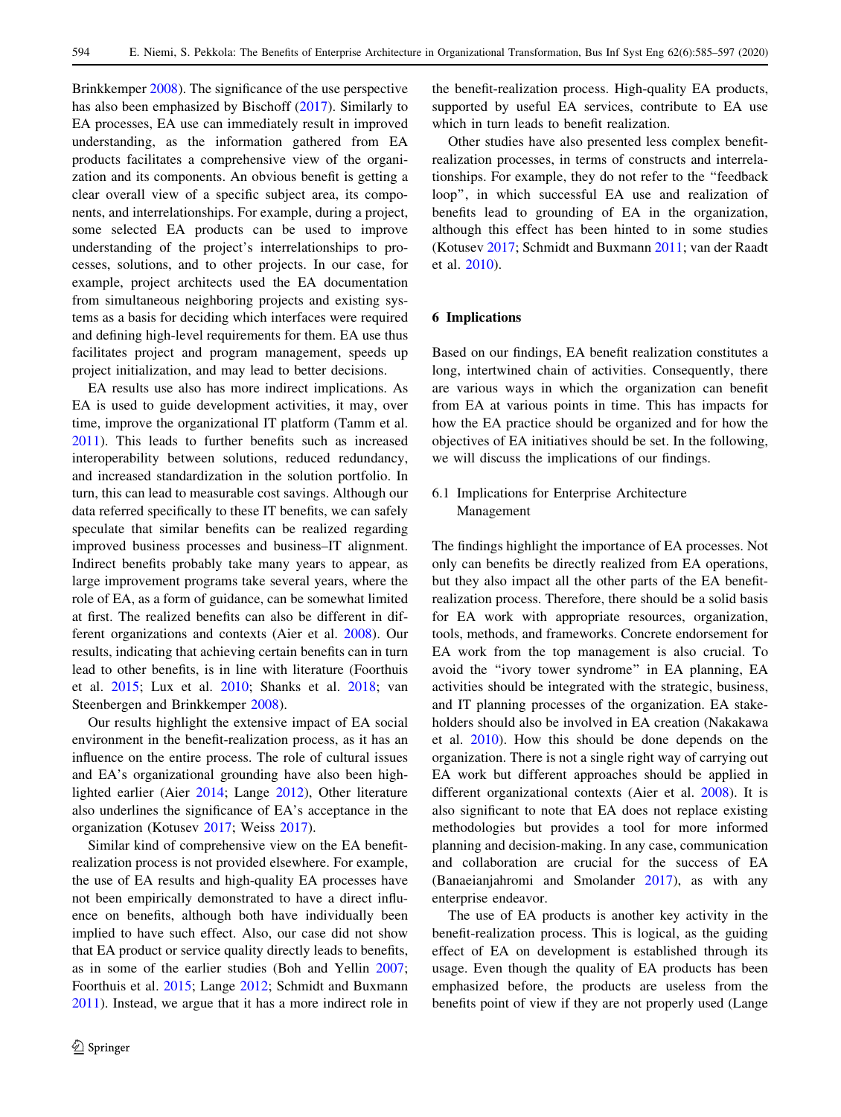Brinkkemper [2008](#page-12-0)). The significance of the use perspective has also been emphasized by Bischoff [\(2017](#page-11-0)). Similarly to EA processes, EA use can immediately result in improved understanding, as the information gathered from EA products facilitates a comprehensive view of the organization and its components. An obvious benefit is getting a clear overall view of a specific subject area, its components, and interrelationships. For example, during a project, some selected EA products can be used to improve understanding of the project's interrelationships to processes, solutions, and to other projects. In our case, for example, project architects used the EA documentation from simultaneous neighboring projects and existing systems as a basis for deciding which interfaces were required and defining high-level requirements for them. EA use thus facilitates project and program management, speeds up project initialization, and may lead to better decisions.

EA results use also has more indirect implications. As EA is used to guide development activities, it may, over time, improve the organizational IT platform (Tamm et al. [2011\)](#page-12-0). This leads to further benefits such as increased interoperability between solutions, reduced redundancy, and increased standardization in the solution portfolio. In turn, this can lead to measurable cost savings. Although our data referred specifically to these IT benefits, we can safely speculate that similar benefits can be realized regarding improved business processes and business–IT alignment. Indirect benefits probably take many years to appear, as large improvement programs take several years, where the role of EA, as a form of guidance, can be somewhat limited at first. The realized benefits can also be different in different organizations and contexts (Aier et al. [2008\)](#page-11-0). Our results, indicating that achieving certain benefits can in turn lead to other benefits, is in line with literature (Foorthuis et al. [2015;](#page-11-0) Lux et al. [2010](#page-12-0); Shanks et al. [2018](#page-12-0); van Steenbergen and Brinkkemper [2008\)](#page-12-0).

Our results highlight the extensive impact of EA social environment in the benefit-realization process, as it has an influence on the entire process. The role of cultural issues and EA's organizational grounding have also been highlighted earlier (Aier [2014;](#page-11-0) Lange [2012](#page-12-0)), Other literature also underlines the significance of EA's acceptance in the organization (Kotusev [2017](#page-12-0); Weiss [2017](#page-12-0)).

Similar kind of comprehensive view on the EA benefitrealization process is not provided elsewhere. For example, the use of EA results and high-quality EA processes have not been empirically demonstrated to have a direct influence on benefits, although both have individually been implied to have such effect. Also, our case did not show that EA product or service quality directly leads to benefits, as in some of the earlier studies (Boh and Yellin [2007](#page-11-0); Foorthuis et al. [2015;](#page-11-0) Lange [2012](#page-12-0); Schmidt and Buxmann [2011\)](#page-12-0). Instead, we argue that it has a more indirect role in

the benefit-realization process. High-quality EA products, supported by useful EA services, contribute to EA use which in turn leads to benefit realization.

Other studies have also presented less complex benefitrealization processes, in terms of constructs and interrelationships. For example, they do not refer to the ''feedback loop'', in which successful EA use and realization of benefits lead to grounding of EA in the organization, although this effect has been hinted to in some studies (Kotusev [2017](#page-12-0); Schmidt and Buxmann [2011;](#page-12-0) van der Raadt et al. [2010\)](#page-12-0).

# 6 Implications

Based on our findings, EA benefit realization constitutes a long, intertwined chain of activities. Consequently, there are various ways in which the organization can benefit from EA at various points in time. This has impacts for how the EA practice should be organized and for how the objectives of EA initiatives should be set. In the following, we will discuss the implications of our findings.

6.1 Implications for Enterprise Architecture Management

The findings highlight the importance of EA processes. Not only can benefits be directly realized from EA operations, but they also impact all the other parts of the EA benefitrealization process. Therefore, there should be a solid basis for EA work with appropriate resources, organization, tools, methods, and frameworks. Concrete endorsement for EA work from the top management is also crucial. To avoid the ''ivory tower syndrome'' in EA planning, EA activities should be integrated with the strategic, business, and IT planning processes of the organization. EA stakeholders should also be involved in EA creation (Nakakawa et al. [2010](#page-12-0)). How this should be done depends on the organization. There is not a single right way of carrying out EA work but different approaches should be applied in different organizational contexts (Aier et al. [2008\)](#page-11-0). It is also significant to note that EA does not replace existing methodologies but provides a tool for more informed planning and decision-making. In any case, communication and collaboration are crucial for the success of EA (Banaeianjahromi and Smolander [2017\)](#page-11-0), as with any enterprise endeavor.

The use of EA products is another key activity in the benefit-realization process. This is logical, as the guiding effect of EA on development is established through its usage. Even though the quality of EA products has been emphasized before, the products are useless from the benefits point of view if they are not properly used (Lange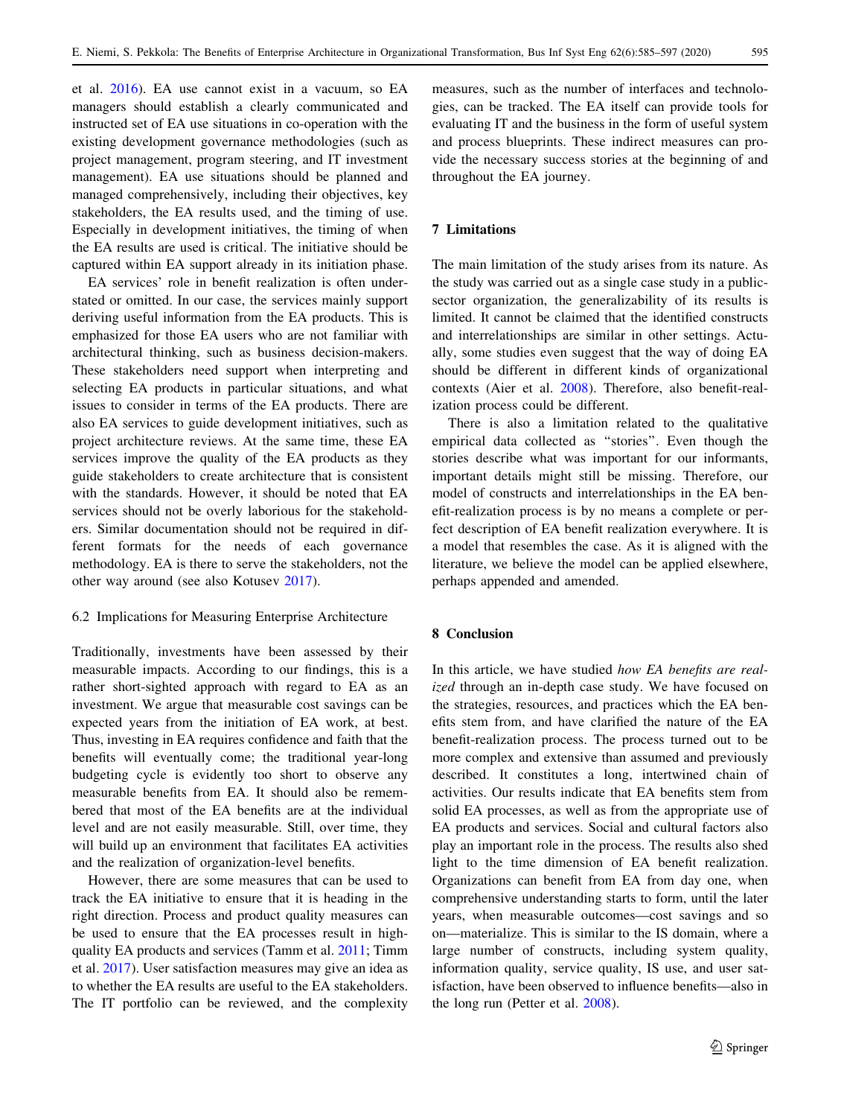et al. [2016\)](#page-12-0). EA use cannot exist in a vacuum, so EA managers should establish a clearly communicated and instructed set of EA use situations in co-operation with the existing development governance methodologies (such as project management, program steering, and IT investment management). EA use situations should be planned and managed comprehensively, including their objectives, key stakeholders, the EA results used, and the timing of use. Especially in development initiatives, the timing of when the EA results are used is critical. The initiative should be captured within EA support already in its initiation phase.

EA services' role in benefit realization is often understated or omitted. In our case, the services mainly support deriving useful information from the EA products. This is emphasized for those EA users who are not familiar with architectural thinking, such as business decision-makers. These stakeholders need support when interpreting and selecting EA products in particular situations, and what issues to consider in terms of the EA products. There are also EA services to guide development initiatives, such as project architecture reviews. At the same time, these EA services improve the quality of the EA products as they guide stakeholders to create architecture that is consistent with the standards. However, it should be noted that EA services should not be overly laborious for the stakeholders. Similar documentation should not be required in different formats for the needs of each governance methodology. EA is there to serve the stakeholders, not the other way around (see also Kotusev [2017](#page-12-0)).

## 6.2 Implications for Measuring Enterprise Architecture

Traditionally, investments have been assessed by their measurable impacts. According to our findings, this is a rather short-sighted approach with regard to EA as an investment. We argue that measurable cost savings can be expected years from the initiation of EA work, at best. Thus, investing in EA requires confidence and faith that the benefits will eventually come; the traditional year-long budgeting cycle is evidently too short to observe any measurable benefits from EA. It should also be remembered that most of the EA benefits are at the individual level and are not easily measurable. Still, over time, they will build up an environment that facilitates EA activities and the realization of organization-level benefits.

However, there are some measures that can be used to track the EA initiative to ensure that it is heading in the right direction. Process and product quality measures can be used to ensure that the EA processes result in highquality EA products and services (Tamm et al. [2011](#page-12-0); Timm et al. [2017\)](#page-12-0). User satisfaction measures may give an idea as to whether the EA results are useful to the EA stakeholders. The IT portfolio can be reviewed, and the complexity measures, such as the number of interfaces and technologies, can be tracked. The EA itself can provide tools for evaluating IT and the business in the form of useful system and process blueprints. These indirect measures can provide the necessary success stories at the beginning of and throughout the EA journey.

# 7 Limitations

The main limitation of the study arises from its nature. As the study was carried out as a single case study in a publicsector organization, the generalizability of its results is limited. It cannot be claimed that the identified constructs and interrelationships are similar in other settings. Actually, some studies even suggest that the way of doing EA should be different in different kinds of organizational contexts (Aier et al. [2008\)](#page-11-0). Therefore, also benefit-realization process could be different.

There is also a limitation related to the qualitative empirical data collected as ''stories''. Even though the stories describe what was important for our informants, important details might still be missing. Therefore, our model of constructs and interrelationships in the EA benefit-realization process is by no means a complete or perfect description of EA benefit realization everywhere. It is a model that resembles the case. As it is aligned with the literature, we believe the model can be applied elsewhere, perhaps appended and amended.

# 8 Conclusion

In this article, we have studied how EA benefits are realized through an in-depth case study. We have focused on the strategies, resources, and practices which the EA benefits stem from, and have clarified the nature of the EA benefit-realization process. The process turned out to be more complex and extensive than assumed and previously described. It constitutes a long, intertwined chain of activities. Our results indicate that EA benefits stem from solid EA processes, as well as from the appropriate use of EA products and services. Social and cultural factors also play an important role in the process. The results also shed light to the time dimension of EA benefit realization. Organizations can benefit from EA from day one, when comprehensive understanding starts to form, until the later years, when measurable outcomes—cost savings and so on—materialize. This is similar to the IS domain, where a large number of constructs, including system quality, information quality, service quality, IS use, and user satisfaction, have been observed to influence benefits—also in the long run (Petter et al. [2008](#page-12-0)).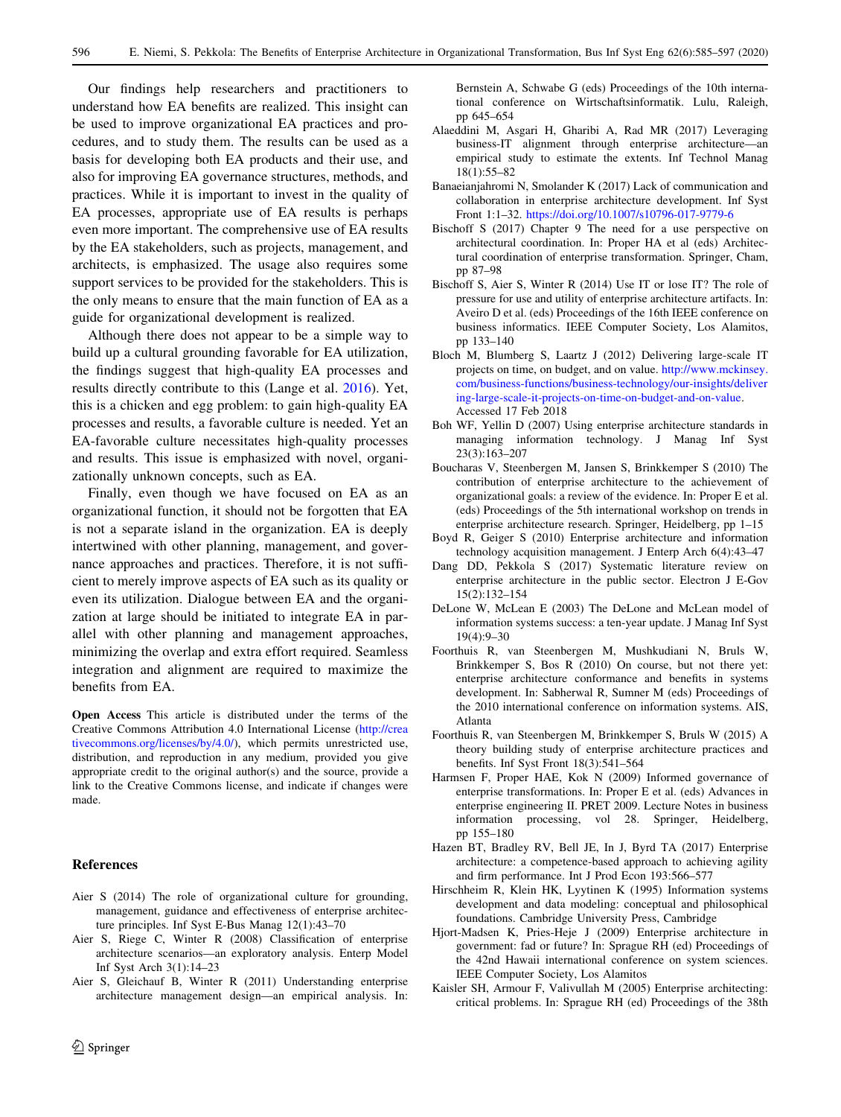<span id="page-11-0"></span>Our findings help researchers and practitioners to understand how EA benefits are realized. This insight can be used to improve organizational EA practices and procedures, and to study them. The results can be used as a basis for developing both EA products and their use, and also for improving EA governance structures, methods, and practices. While it is important to invest in the quality of EA processes, appropriate use of EA results is perhaps even more important. The comprehensive use of EA results by the EA stakeholders, such as projects, management, and architects, is emphasized. The usage also requires some support services to be provided for the stakeholders. This is the only means to ensure that the main function of EA as a guide for organizational development is realized.

Although there does not appear to be a simple way to build up a cultural grounding favorable for EA utilization, the findings suggest that high-quality EA processes and results directly contribute to this (Lange et al. [2016\)](#page-12-0). Yet, this is a chicken and egg problem: to gain high-quality EA processes and results, a favorable culture is needed. Yet an EA-favorable culture necessitates high-quality processes and results. This issue is emphasized with novel, organizationally unknown concepts, such as EA.

Finally, even though we have focused on EA as an organizational function, it should not be forgotten that EA is not a separate island in the organization. EA is deeply intertwined with other planning, management, and governance approaches and practices. Therefore, it is not sufficient to merely improve aspects of EA such as its quality or even its utilization. Dialogue between EA and the organization at large should be initiated to integrate EA in parallel with other planning and management approaches, minimizing the overlap and extra effort required. Seamless integration and alignment are required to maximize the benefits from EA.

Open Access This article is distributed under the terms of the Creative Commons Attribution 4.0 International License ([http://crea](http://creativecommons.org/licenses/by/4.0/) [tivecommons.org/licenses/by/4.0/\)](http://creativecommons.org/licenses/by/4.0/), which permits unrestricted use, distribution, and reproduction in any medium, provided you give appropriate credit to the original author(s) and the source, provide a link to the Creative Commons license, and indicate if changes were made.

# References

- Aier S (2014) The role of organizational culture for grounding, management, guidance and effectiveness of enterprise architecture principles. Inf Syst E-Bus Manag 12(1):43–70
- Aier S, Riege C, Winter R (2008) Classification of enterprise architecture scenarios—an exploratory analysis. Enterp Model Inf Syst Arch 3(1):14–23
- Aier S, Gleichauf B, Winter R (2011) Understanding enterprise architecture management design—an empirical analysis. In:

Bernstein A, Schwabe G (eds) Proceedings of the 10th international conference on Wirtschaftsinformatik. Lulu, Raleigh, pp 645–654

- Alaeddini M, Asgari H, Gharibi A, Rad MR (2017) Leveraging business-IT alignment through enterprise architecture—an empirical study to estimate the extents. Inf Technol Manag 18(1):55–82
- Banaeianjahromi N, Smolander K (2017) Lack of communication and collaboration in enterprise architecture development. Inf Syst Front 1:1–32. <https://doi.org/10.1007/s10796-017-9779-6>
- Bischoff S (2017) Chapter 9 The need for a use perspective on architectural coordination. In: Proper HA et al (eds) Architectural coordination of enterprise transformation. Springer, Cham, pp 87–98
- Bischoff S, Aier S, Winter R (2014) Use IT or lose IT? The role of pressure for use and utility of enterprise architecture artifacts. In: Aveiro D et al. (eds) Proceedings of the 16th IEEE conference on business informatics. IEEE Computer Society, Los Alamitos, pp 133–140
- Bloch M, Blumberg S, Laartz J (2012) Delivering large-scale IT projects on time, on budget, and on value. [http://www.mckinsey.](http://www.mckinsey.com/business-functions/business-technology/our-insights/delivering-large-scale-it-projects-on-time-on-budget-and-on-value) [com/business-functions/business-technology/our-insights/deliver](http://www.mckinsey.com/business-functions/business-technology/our-insights/delivering-large-scale-it-projects-on-time-on-budget-and-on-value) [ing-large-scale-it-projects-on-time-on-budget-and-on-value](http://www.mckinsey.com/business-functions/business-technology/our-insights/delivering-large-scale-it-projects-on-time-on-budget-and-on-value). Accessed 17 Feb 2018
- Boh WF, Yellin D (2007) Using enterprise architecture standards in managing information technology. J Manag Inf Syst 23(3):163–207
- Boucharas V, Steenbergen M, Jansen S, Brinkkemper S (2010) The contribution of enterprise architecture to the achievement of organizational goals: a review of the evidence. In: Proper E et al. (eds) Proceedings of the 5th international workshop on trends in enterprise architecture research. Springer, Heidelberg, pp 1–15
- Boyd R, Geiger S (2010) Enterprise architecture and information technology acquisition management. J Enterp Arch 6(4):43–47
- Dang DD, Pekkola S (2017) Systematic literature review on enterprise architecture in the public sector. Electron J E-Gov 15(2):132–154
- DeLone W, McLean E (2003) The DeLone and McLean model of information systems success: a ten-year update. J Manag Inf Syst 19(4):9–30
- Foorthuis R, van Steenbergen M, Mushkudiani N, Bruls W, Brinkkemper S, Bos R (2010) On course, but not there yet: enterprise architecture conformance and benefits in systems development. In: Sabherwal R, Sumner M (eds) Proceedings of the 2010 international conference on information systems. AIS, Atlanta
- Foorthuis R, van Steenbergen M, Brinkkemper S, Bruls W (2015) A theory building study of enterprise architecture practices and benefits. Inf Syst Front 18(3):541–564
- Harmsen F, Proper HAE, Kok N (2009) Informed governance of enterprise transformations. In: Proper E et al. (eds) Advances in enterprise engineering II. PRET 2009. Lecture Notes in business information processing, vol 28. Springer, Heidelberg, pp 155–180
- Hazen BT, Bradley RV, Bell JE, In J, Byrd TA (2017) Enterprise architecture: a competence-based approach to achieving agility and firm performance. Int J Prod Econ 193:566–577
- Hirschheim R, Klein HK, Lyytinen K (1995) Information systems development and data modeling: conceptual and philosophical foundations. Cambridge University Press, Cambridge
- Hjort-Madsen K, Pries-Heje J (2009) Enterprise architecture in government: fad or future? In: Sprague RH (ed) Proceedings of the 42nd Hawaii international conference on system sciences. IEEE Computer Society, Los Alamitos
- Kaisler SH, Armour F, Valivullah M (2005) Enterprise architecting: critical problems. In: Sprague RH (ed) Proceedings of the 38th